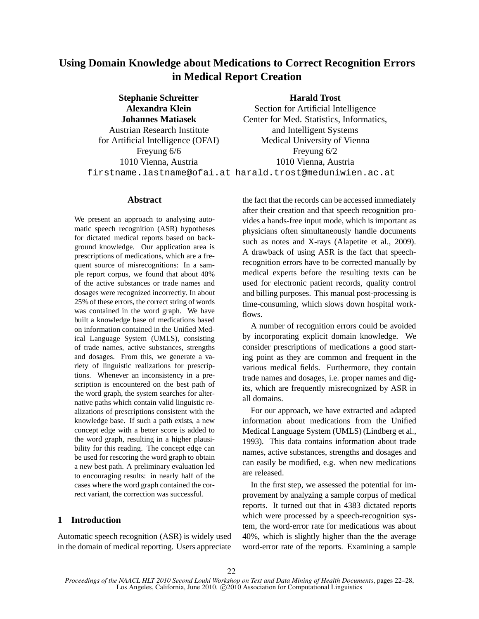# **Using Domain Knowledge about Medications to Correct Recognition Errors in Medical Report Creation**

| <b>Stephanie Schreitter</b>        | <b>Harald Trost</b>                                      |  |
|------------------------------------|----------------------------------------------------------|--|
| <b>Alexandra Klein</b>             | Section for Artificial Intelligence                      |  |
| <b>Johannes Matiasek</b>           | Center for Med. Statistics, Informatics,                 |  |
| <b>Austrian Research Institute</b> | and Intelligent Systems                                  |  |
| for Artificial Intelligence (OFAI) | Medical University of Vienna                             |  |
| Freyung 6/6                        | Freyung $6/2$                                            |  |
| 1010 Vienna, Austria               | 1010 Vienna, Austria                                     |  |
|                                    | firstname.lastname@ofai.at harald.trost@meduniwien.ac.at |  |

## **Abstract**

We present an approach to analysing automatic speech recognition (ASR) hypotheses for dictated medical reports based on background knowledge. Our application area is prescriptions of medications, which are a frequent source of misrecognitions: In a sample report corpus, we found that about 40% of the active substances or trade names and dosages were recognized incorrectly. In about 25% of these errors, the correct string of words was contained in the word graph. We have built a knowledge base of medications based on information contained in the Unified Medical Language System (UMLS), consisting of trade names, active substances, strengths and dosages. From this, we generate a variety of linguistic realizations for prescriptions. Whenever an inconsistency in a prescription is encountered on the best path of the word graph, the system searches for alternative paths which contain valid linguistic realizations of prescriptions consistent with the knowledge base. If such a path exists, a new concept edge with a better score is added to the word graph, resulting in a higher plausibility for this reading. The concept edge can be used for rescoring the word graph to obtain a new best path. A preliminary evaluation led to encouraging results: in nearly half of the cases where the word graph contained the correct variant, the correction was successful.

## **1 Introduction**

Automatic speech recognition (ASR) is widely used in the domain of medical reporting. Users appreciate the fact that the records can be accessed immediately after their creation and that speech recognition provides a hands-free input mode, which is important as physicians often simultaneously handle documents such as notes and X-rays (Alapetite et al., 2009). A drawback of using ASR is the fact that speechrecognition errors have to be corrected manually by medical experts before the resulting texts can be used for electronic patient records, quality control and billing purposes. This manual post-processing is time-consuming, which slows down hospital workflows.

A number of recognition errors could be avoided by incorporating explicit domain knowledge. We consider prescriptions of medications a good starting point as they are common and frequent in the various medical fields. Furthermore, they contain trade names and dosages, i.e. proper names and digits, which are frequently misrecognized by ASR in all domains.

For our approach, we have extracted and adapted information about medications from the Unified Medical Language System (UMLS) (Lindberg et al., 1993). This data contains information about trade names, active substances, strengths and dosages and can easily be modified, e.g. when new medications are released.

In the first step, we assessed the potential for improvement by analyzing a sample corpus of medical reports. It turned out that in 4383 dictated reports which were processed by a speech-recognition system, the word-error rate for medications was about 40%, which is slightly higher than the the average word-error rate of the reports. Examining a sample

*Proceedings of the NAACL HLT 2010 Second Louhi Workshop on Text and Data Mining of Health Documents*, pages 22–28, Los Angeles, California, June 2010. ©2010 Association for Computational Linguistics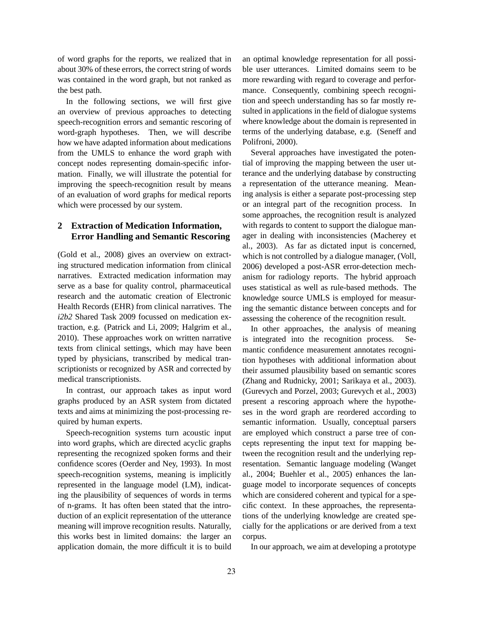of word graphs for the reports, we realized that in about 30% of these errors, the correct string of words was contained in the word graph, but not ranked as the best path.

In the following sections, we will first give an overview of previous approaches to detecting speech-recognition errors and semantic rescoring of word-graph hypotheses. Then, we will describe how we have adapted information about medications from the UMLS to enhance the word graph with concept nodes representing domain-specific information. Finally, we will illustrate the potential for improving the speech-recognition result by means of an evaluation of word graphs for medical reports which were processed by our system.

## **2 Extraction of Medication Information, Error Handling and Semantic Rescoring**

(Gold et al., 2008) gives an overview on extracting structured medication information from clinical narratives. Extracted medication information may serve as a base for quality control, pharmaceutical research and the automatic creation of Electronic Health Records (EHR) from clinical narratives. The *i2b2* Shared Task 2009 focussed on medication extraction, e.g. (Patrick and Li, 2009; Halgrim et al., 2010). These approaches work on written narrative texts from clinical settings, which may have been typed by physicians, transcribed by medical transcriptionists or recognized by ASR and corrected by medical transcriptionists.

In contrast, our approach takes as input word graphs produced by an ASR system from dictated texts and aims at minimizing the post-processing required by human experts.

Speech-recognition systems turn acoustic input into word graphs, which are directed acyclic graphs representing the recognized spoken forms and their confidence scores (Oerder and Ney, 1993). In most speech-recognition systems, meaning is implicitly represented in the language model (LM), indicating the plausibility of sequences of words in terms of n-grams. It has often been stated that the introduction of an explicit representation of the utterance meaning will improve recognition results. Naturally, this works best in limited domains: the larger an application domain, the more difficult it is to build an optimal knowledge representation for all possible user utterances. Limited domains seem to be more rewarding with regard to coverage and performance. Consequently, combining speech recognition and speech understanding has so far mostly resulted in applications in the field of dialogue systems where knowledge about the domain is represented in terms of the underlying database, e.g. (Seneff and Polifroni, 2000).

Several approaches have investigated the potential of improving the mapping between the user utterance and the underlying database by constructing a representation of the utterance meaning. Meaning analysis is either a separate post-processing step or an integral part of the recognition process. In some approaches, the recognition result is analyzed with regards to content to support the dialogue manager in dealing with inconsistencies (Macherey et al., 2003). As far as dictated input is concerned, which is not controlled by a dialogue manager, (Voll, 2006) developed a post-ASR error-detection mechanism for radiology reports. The hybrid approach uses statistical as well as rule-based methods. The knowledge source UMLS is employed for measuring the semantic distance between concepts and for assessing the coherence of the recognition result.

In other approaches, the analysis of meaning is integrated into the recognition process. Semantic confidence measurement annotates recognition hypotheses with additional information about their assumed plausibility based on semantic scores (Zhang and Rudnicky, 2001; Sarikaya et al., 2003). (Gurevych and Porzel, 2003; Gurevych et al., 2003) present a rescoring approach where the hypotheses in the word graph are reordered according to semantic information. Usually, conceptual parsers are employed which construct a parse tree of concepts representing the input text for mapping between the recognition result and the underlying representation. Semantic language modeling (Wanget al., 2004; Buehler et al., 2005) enhances the language model to incorporate sequences of concepts which are considered coherent and typical for a specific context. In these approaches, the representations of the underlying knowledge are created specially for the applications or are derived from a text corpus.

In our approach, we aim at developing a prototype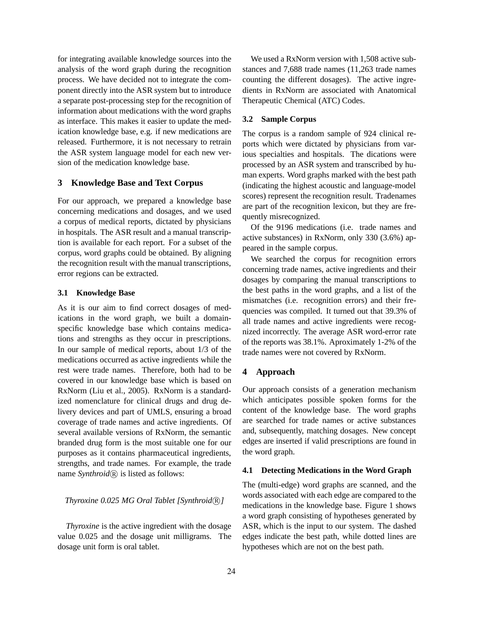for integrating available knowledge sources into the analysis of the word graph during the recognition process. We have decided not to integrate the component directly into the ASR system but to introduce a separate post-processing step for the recognition of information about medications with the word graphs as interface. This makes it easier to update the medication knowledge base, e.g. if new medications are released. Furthermore, it is not necessary to retrain the ASR system language model for each new version of the medication knowledge base.

#### **3 Knowledge Base and Text Corpus**

For our approach, we prepared a knowledge base concerning medications and dosages, and we used a corpus of medical reports, dictated by physicians in hospitals. The ASR result and a manual transcription is available for each report. For a subset of the corpus, word graphs could be obtained. By aligning the recognition result with the manual transcriptions, error regions can be extracted.

## **3.1 Knowledge Base**

As it is our aim to find correct dosages of medications in the word graph, we built a domainspecific knowledge base which contains medications and strengths as they occur in prescriptions. In our sample of medical reports, about 1/3 of the medications occurred as active ingredients while the rest were trade names. Therefore, both had to be covered in our knowledge base which is based on RxNorm (Liu et al., 2005). RxNorm is a standardized nomenclature for clinical drugs and drug delivery devices and part of UMLS, ensuring a broad coverage of trade names and active ingredients. Of several available versions of RxNorm, the semantic branded drug form is the most suitable one for our purposes as it contains pharmaceutical ingredients, strengths, and trade names. For example, the trade name *Synthroid*( $\widehat{R}$ ) is listed as follows:

#### *Thyroxine 0.025 MG Oral Tablet [Synthroid* R *]*

*Thyroxine* is the active ingredient with the dosage value 0.025 and the dosage unit milligrams. The dosage unit form is oral tablet.

We used a RxNorm version with 1,508 active substances and 7,688 trade names (11,263 trade names counting the different dosages). The active ingredients in RxNorm are associated with Anatomical Therapeutic Chemical (ATC) Codes.

#### **3.2 Sample Corpus**

The corpus is a random sample of 924 clinical reports which were dictated by physicians from various specialties and hospitals. The dications were processed by an ASR system and transcribed by human experts. Word graphs marked with the best path (indicating the highest acoustic and language-model scores) represent the recognition result. Tradenames are part of the recognition lexicon, but they are frequently misrecognized.

Of the 9196 medications (i.e. trade names and active substances) in RxNorm, only 330 (3.6%) appeared in the sample corpus.

We searched the corpus for recognition errors concerning trade names, active ingredients and their dosages by comparing the manual transcriptions to the best paths in the word graphs, and a list of the mismatches (i.e. recognition errors) and their frequencies was compiled. It turned out that 39.3% of all trade names and active ingredients were recognized incorrectly. The average ASR word-error rate of the reports was 38.1%. Aproximately 1-2% of the trade names were not covered by RxNorm.

## **4 Approach**

Our approach consists of a generation mechanism which anticipates possible spoken forms for the content of the knowledge base. The word graphs are searched for trade names or active substances and, subsequently, matching dosages. New concept edges are inserted if valid prescriptions are found in the word graph.

#### **4.1 Detecting Medications in the Word Graph**

The (multi-edge) word graphs are scanned, and the words associated with each edge are compared to the medications in the knowledge base. Figure 1 shows a word graph consisting of hypotheses generated by ASR, which is the input to our system. The dashed edges indicate the best path, while dotted lines are hypotheses which are not on the best path.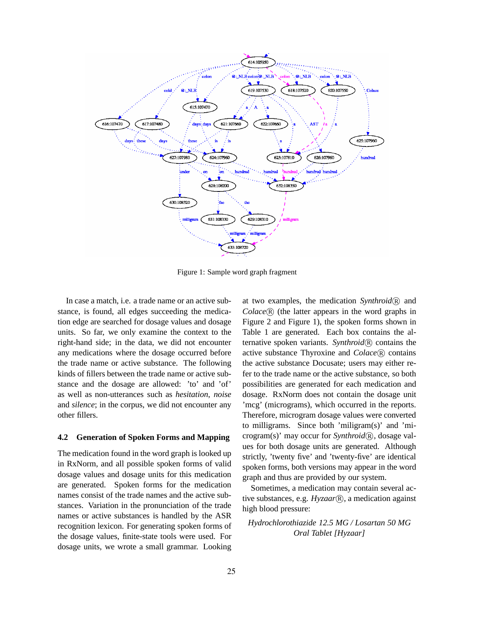

Figure 1: Sample word graph fragment

In case a match, i.e. a trade name or an active substance, is found, all edges succeeding the medication edge are searched for dosage values and dosage units. So far, we only examine the context to the right-hand side; in the data, we did not encounter any medications where the dosage occurred before the trade name or active substance. The following kinds of fillers between the trade name or active substance and the dosage are allowed: 'to' and 'of' as well as non-utterances such as *hesitation*, *noise* and *silence*; in the corpus, we did not encounter any other fillers.

#### **4.2 Generation of Spoken Forms and Mapping**

The medication found in the word graph is looked up in RxNorm, and all possible spoken forms of valid dosage values and dosage units for this medication are generated. Spoken forms for the medication names consist of the trade names and the active substances. Variation in the pronunciation of the trade names or active substances is handled by the ASR recognition lexicon. For generating spoken forms of the dosage values, finite-state tools were used. For dosage units, we wrote a small grammar. Looking at two examples, the medication *Synthroid*<sup>(R)</sup> and  $Colace(\overline{R})$  (the latter appears in the word graphs in Figure 2 and Figure 1), the spoken forms shown in Table 1 are generated. Each box contains the alternative spoken variants. Synthroid<sup>(R)</sup> contains the active substance Thyroxine and *Colace*(R) contains the active substance Docusate; users may either refer to the trade name or the active substance, so both possibilities are generated for each medication and dosage. RxNorm does not contain the dosage unit 'mcg' (micrograms), which occurred in the reports. Therefore, microgram dosage values were converted to milligrams. Since both 'miligram(s)' and 'microgram(s)' may occur for *Synthroid*(R), dosage values for both dosage units are generated. Although strictly, 'twenty five' and 'twenty-five' are identical spoken forms, both versions may appear in the word graph and thus are provided by our system.

Sometimes, a medication may contain several active substances, e.g. *Hyzaar*(R), a medication against high blood pressure:

*Hydrochlorothiazide 12.5 MG / Losartan 50 MG Oral Tablet [Hyzaar]*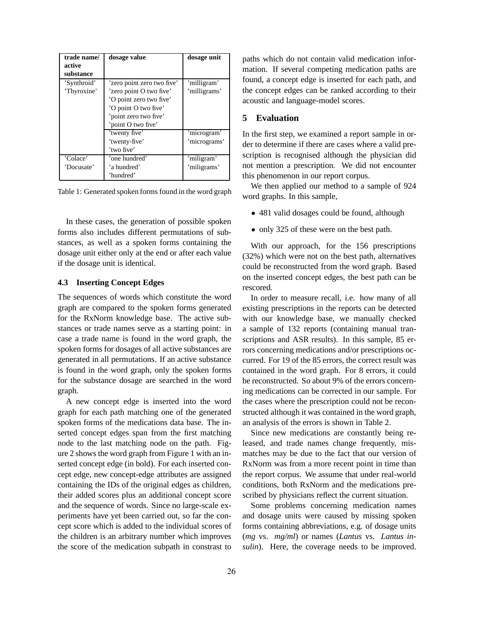| trade name/ | dosage value               | dosage unit  |  |
|-------------|----------------------------|--------------|--|
| active      |                            |              |  |
| substance   |                            |              |  |
| 'Synthroid' | 'zero point zero two five' | 'milligram'  |  |
| 'Thyroxine' | 'zero point O two five'    | 'milligrams' |  |
|             | 'O point zero two five'    |              |  |
|             | 'O point O two five'       |              |  |
|             | 'point zero two five'      |              |  |
|             | 'point O two five'         |              |  |
|             | 'twenty five'              | 'microgram'  |  |
|             | 'twenty-five'              | 'micrograms' |  |
|             | 'two five'                 |              |  |
| 'Colace'    | 'one hundred'              | 'miligram'   |  |
| 'Docusate'  | 'a hundred'                | 'miligrams'  |  |
|             | 'hundred'                  |              |  |

Table 1: Generated spoken forms found in the word graph

In these cases, the generation of possible spoken forms also includes different permutations of substances, as well as a spoken forms containing the dosage unit either only at the end or after each value if the dosage unit is identical.

## **4.3 Inserting Concept Edges**

The sequences of words which constitute the word graph are compared to the spoken forms generated for the RxNorm knowledge base. The active substances or trade names serve as a starting point: in case a trade name is found in the word graph, the spoken forms for dosages of all active substances are generated in all permutations. If an active substance is found in the word graph, only the spoken forms for the substance dosage are searched in the word graph.

A new concept edge is inserted into the word graph for each path matching one of the generated spoken forms of the medications data base. The inserted concept edges span from the first matching node to the last matching node on the path. Figure 2 shows the word graph from Figure 1 with an inserted concept edge (in bold). For each inserted concept edge, new concept-edge attributes are assigned containing the IDs of the original edges as children, their added scores plus an additional concept score and the sequence of words. Since no large-scale experiments have yet been carried out, so far the concept score which is added to the individual scores of the children is an arbitrary number which improves the score of the medication subpath in constrast to

paths which do not contain valid medication information. If several competing medication paths are found, a concept edge is inserted for each path, and the concept edges can be ranked according to their acoustic and language-model scores.

## **5 Evaluation**

In the first step, we examined a report sample in order to determine if there are cases where a valid prescription is recognised although the physician did not mention a prescription. We did not encounter this phenomenon in our report corpus.

We then applied our method to a sample of 924 word graphs. In this sample,

- 481 valid dosages could be found, although
- only 325 of these were on the best path.

With our approach, for the 156 prescriptions (32%) which were not on the best path, alternatives could be reconstructed from the word graph. Based on the inserted concept edges, the best path can be rescored.

In order to measure recall, i.e. how many of all existing prescriptions in the reports can be detected with our knowledge base, we manually checked a sample of 132 reports (containing manual transcriptions and ASR results). In this sample, 85 errors concerning medications and/or prescriptions occurred. For 19 of the 85 errors, the correct result was contained in the word graph. For 8 errors, it could be reconstructed. So about 9% of the errors concerning medications can be corrected in our sample. For the cases where the prescription could not be reconstructed although it was contained in the word graph, an analysis of the errors is shown in Table 2.

Since new medications are constantly being released, and trade names change frequently, mismatches may be due to the fact that our version of RxNorm was from a more recent point in time than the report corpus. We assume that under real-world conditions, both RxNorm and the medications prescribed by physicians reflect the current situation.

Some problems concerning medication names and dosage units were caused by missing spoken forms containing abbreviations, e.g. of dosage units (*mg* vs. *mg/ml*) or names (*Lantus* vs. *Lantus insulin*). Here, the coverage needs to be improved.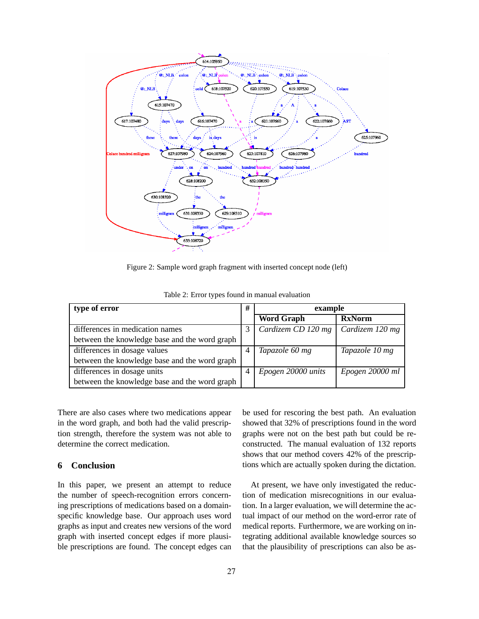

Figure 2: Sample word graph fragment with inserted concept node (left)

| type of error                                 | # | example            |                 |
|-----------------------------------------------|---|--------------------|-----------------|
|                                               |   | <b>Word Graph</b>  | <b>RxNorm</b>   |
| differences in medication names               |   | Cardizem CD 120 mg | Cardizem 120 mg |
| between the knowledge base and the word graph |   |                    |                 |
| differences in dosage values                  | 4 | Tapazole 60 mg     | Tapazole 10 mg  |
| between the knowledge base and the word graph |   |                    |                 |
| differences in dosage units                   | 4 | Epogen 20000 units | Epogen 20000 ml |
| between the knowledge base and the word graph |   |                    |                 |

Table 2: Error types found in manual evaluation

There are also cases where two medications appear in the word graph, and both had the valid prescription strength, therefore the system was not able to determine the correct medication.

# **6 Conclusion**

In this paper, we present an attempt to reduce the number of speech-recognition errors concerning prescriptions of medications based on a domainspecific knowledge base. Our approach uses word graphs as input and creates new versions of the word graph with inserted concept edges if more plausible prescriptions are found. The concept edges can be used for rescoring the best path. An evaluation showed that 32% of prescriptions found in the word graphs were not on the best path but could be reconstructed. The manual evaluation of 132 reports shows that our method covers 42% of the prescriptions which are actually spoken during the dictation.

At present, we have only investigated the reduction of medication misrecognitions in our evaluation. In a larger evaluation, we will determine the actual impact of our method on the word-error rate of medical reports. Furthermore, we are working on integrating additional available knowledge sources so that the plausibility of prescriptions can also be as